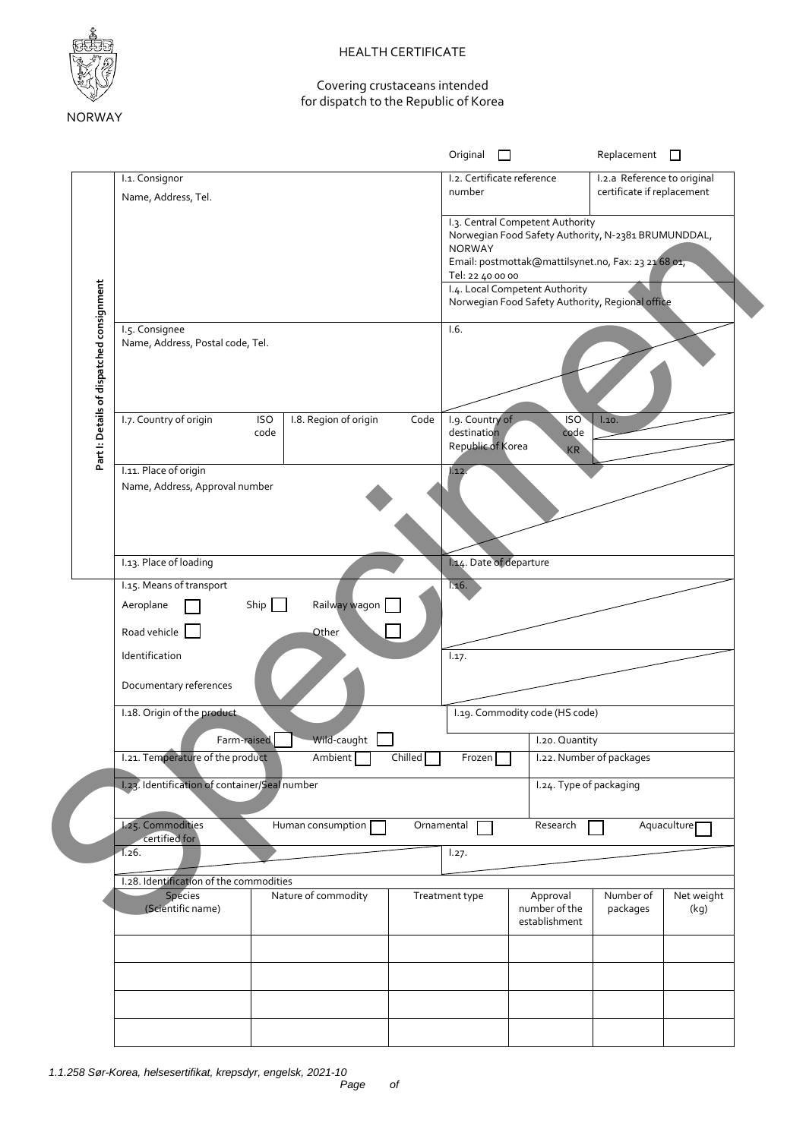

## HEALTH CERTIFICATE

## Covering crustaceans intended for dispatch to the Republic of Korea

|                                           |                                                                                                               | Original $\Box$                                                                                                                                             | $Replacement$ $\square$                                                                                    |
|-------------------------------------------|---------------------------------------------------------------------------------------------------------------|-------------------------------------------------------------------------------------------------------------------------------------------------------------|------------------------------------------------------------------------------------------------------------|
|                                           | I.1. Consignor                                                                                                | I.2. Certificate reference<br>number                                                                                                                        | I.2.a Reference to original<br>certificate if replacement                                                  |
|                                           | Name, Address, Tel.                                                                                           | I.3. Central Competent Authority<br><b>NORWAY</b><br>Tel: 22 40 00 00<br>I.4. Local Competent Authority<br>Norwegian Food Safety Authority, Regional office | Norwegian Food Safety Authority, N-2381 BRUMUNDDAL,<br>Email: postmottak@mattilsynet.no, Fax: 23 21 68 01, |
| Part I: Details of dispatched consignment | I.5. Consignee<br>Name, Address, Postal code, Tel.                                                            | 1.6.                                                                                                                                                        |                                                                                                            |
|                                           | I.7. Country of origin<br>I.8. Region of origin<br><b>ISO</b><br>code                                         | Code<br>I.9. Country of<br>destination<br>Republic of Korea                                                                                                 | ISO <sup>T</sup><br>1.10.<br>code<br>KR                                                                    |
|                                           | I.11. Place of origin<br>Name, Address, Approval number                                                       | 1.12.                                                                                                                                                       |                                                                                                            |
|                                           | I.13. Place of loading                                                                                        | I.14. Date of departure                                                                                                                                     |                                                                                                            |
|                                           | I.15. Means of transport<br>Ship $\boxed{\phantom{a}}$<br>Railway wagon<br>Aeroplane<br>Road vehicle<br>Other | 1.16.                                                                                                                                                       |                                                                                                            |
|                                           | Identification<br>Documentary references                                                                      | 1.17.                                                                                                                                                       |                                                                                                            |
|                                           | I.18. Origin of the product                                                                                   | I.19. Commodity code (HS code)                                                                                                                              |                                                                                                            |
|                                           | Wild-caught<br>Farm-raised                                                                                    |                                                                                                                                                             | I.20. Quantity                                                                                             |
|                                           | 1.21. Temperature of the product<br>Ambient                                                                   | Chilled    <br>Frozen                                                                                                                                       | 1.22. Number of packages                                                                                   |
|                                           |                                                                                                               |                                                                                                                                                             |                                                                                                            |
|                                           | I.23. Identification of container/Seal number                                                                 |                                                                                                                                                             | I.24. Type of packaging                                                                                    |
|                                           | <b>L25. Commodities</b><br>Human consumption                                                                  | Ornamental<br>Research                                                                                                                                      | Aquaculture <sub>[1]</sub>                                                                                 |
|                                           | certified for<br>1.26.                                                                                        | 1.27.                                                                                                                                                       |                                                                                                            |
|                                           | I.28. Identification of the commodities                                                                       |                                                                                                                                                             |                                                                                                            |
|                                           | Species<br>Nature of commodity<br>(Scientific name)                                                           | Treatment type<br>Approval<br>number of the<br>establishment                                                                                                | Number of<br>Net weight<br>packages<br>(kg)                                                                |
|                                           |                                                                                                               |                                                                                                                                                             |                                                                                                            |
|                                           |                                                                                                               |                                                                                                                                                             |                                                                                                            |
|                                           |                                                                                                               |                                                                                                                                                             |                                                                                                            |